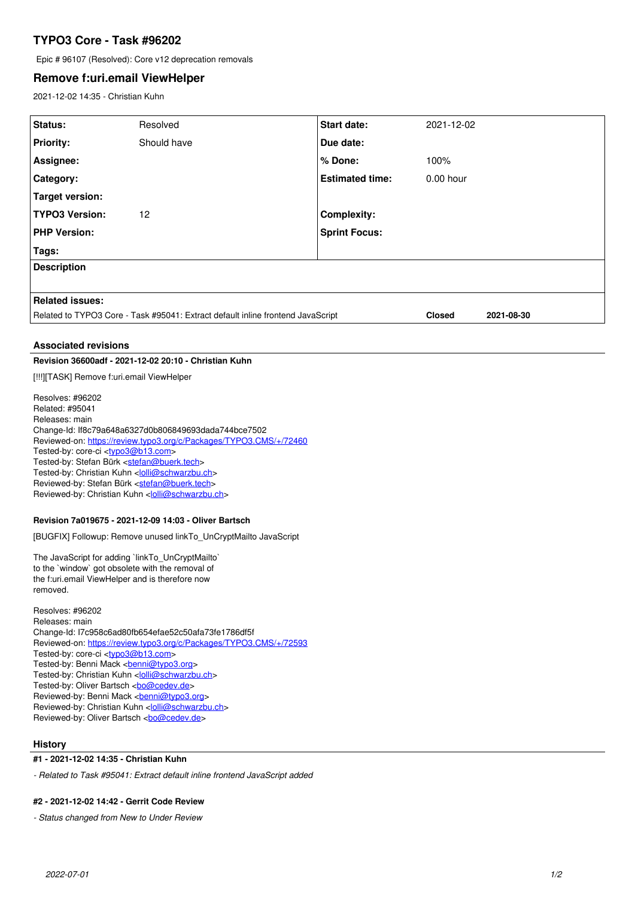# **TYPO3 Core - Task #96202**

Epic # 96107 (Resolved): Core v12 deprecation removals

## **Remove f:uri.email ViewHelper**

2021-12-02 14:35 - Christian Kuhn

| Status:                                                                         | Resolved    | Start date:            | 2021-12-02    |            |
|---------------------------------------------------------------------------------|-------------|------------------------|---------------|------------|
| <b>Priority:</b>                                                                | Should have | Due date:              |               |            |
| Assignee:                                                                       |             | % Done:                | 100%          |            |
| <b>Category:</b>                                                                |             | <b>Estimated time:</b> | 0.00 hour     |            |
| Target version:                                                                 |             |                        |               |            |
| <b>TYPO3 Version:</b>                                                           | 12          | <b>Complexity:</b>     |               |            |
| <b>PHP Version:</b>                                                             |             | <b>Sprint Focus:</b>   |               |            |
| Tags:                                                                           |             |                        |               |            |
| <b>Description</b>                                                              |             |                        |               |            |
|                                                                                 |             |                        |               |            |
| <b>Related issues:</b>                                                          |             |                        |               |            |
| Related to TYPO3 Core - Task #95041: Extract default inline frontend JavaScript |             |                        | <b>Closed</b> | 2021-08-30 |
|                                                                                 |             |                        |               |            |

## **Associated revisions**

## **Revision 36600adf - 2021-12-02 20:10 - Christian Kuhn**

[!!!][TASK] Remove f:uri.email ViewHelper

Resolves: #96202 Related: #95041 Releases: main Change-Id: If8c79a648a6327d0b806849693dada744bce7502 Reviewed-on:<https://review.typo3.org/c/Packages/TYPO3.CMS/+/72460> Tested-by: core-ci [<typo3@b13.com](mailto:typo3@b13.com)> Tested-by: Stefan Bürk <[stefan@buerk.tech](mailto:stefan@buerk.tech)> Tested-by: Christian Kuhn <[lolli@schwarzbu.ch](mailto:lolli@schwarzbu.ch)> Reviewed-by: Stefan Bürk <[stefan@buerk.tech>](mailto:stefan@buerk.tech) Reviewed-by: Christian Kuhn [<lolli@schwarzbu.ch>](mailto:lolli@schwarzbu.ch)

## **Revision 7a019675 - 2021-12-09 14:03 - Oliver Bartsch**

[BUGFIX] Followup: Remove unused linkTo\_UnCryptMailto JavaScript

The JavaScript for adding `linkTo\_UnCryptMailto` to the `window` got obsolete with the removal of the f:uri.email ViewHelper and is therefore now removed.

Resolves: #96202 Releases: main Change-Id: I7c958c6ad80fb654efae52c50afa73fe1786df5f Reviewed-on:<https://review.typo3.org/c/Packages/TYPO3.CMS/+/72593> Tested-by: core-ci [<typo3@b13.com](mailto:typo3@b13.com)> Tested-by: Benni Mack <[benni@typo3.org>](mailto:benni@typo3.org) Tested-by: Christian Kuhn <[lolli@schwarzbu.ch](mailto:lolli@schwarzbu.ch)> Tested-by: Oliver Bartsch <br/> <br/> <br/> <br/> <br/>Cedev.de> Reviewed-by: Benni Mack <br/>
<u>benni@typo3.org</u>> Reviewed-by: Christian Kuhn [<lolli@schwarzbu.ch>](mailto:lolli@schwarzbu.ch) Reviewed-by: Oliver Bartsch <[bo@cedev.de](mailto:bo@cedev.de)>

### **History**

**#1 - 2021-12-02 14:35 - Christian Kuhn**

*- Related to Task #95041: Extract default inline frontend JavaScript added*

#### **#2 - 2021-12-02 14:42 - Gerrit Code Review**

*- Status changed from New to Under Review*